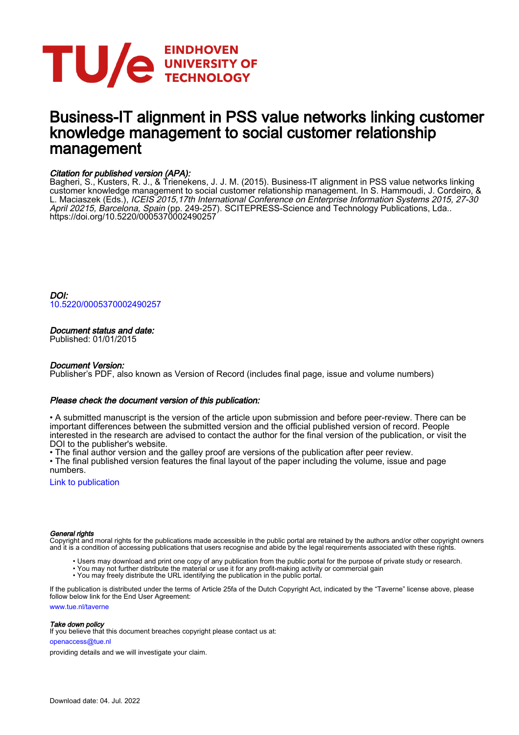

# Business-IT alignment in PSS value networks linking customer knowledge management to social customer relationship management

### Citation for published version (APA):

Bagheri, S., Kusters, R. J., & Trienekens, J. J. M. (2015). Business-IT alignment in PSS value networks linking customer knowledge management to social customer relationship management. In S. Hammoudi, J. Cordeiro, & L. Maciaszek (Eds.), ICEIS 2015,17th International Conference on Enterprise Information Systems 2015, 27-30 April 20215, Barcelona, Spain (pp. 249-257). SCITEPRESS-Science and Technology Publications, Lda.. <https://doi.org/10.5220/0005370002490257>

DOI: [10.5220/0005370002490257](https://doi.org/10.5220/0005370002490257)

#### Document status and date:

Published: 01/01/2015

#### Document Version:

Publisher's PDF, also known as Version of Record (includes final page, issue and volume numbers)

#### Please check the document version of this publication:

• A submitted manuscript is the version of the article upon submission and before peer-review. There can be important differences between the submitted version and the official published version of record. People interested in the research are advised to contact the author for the final version of the publication, or visit the DOI to the publisher's website.

• The final author version and the galley proof are versions of the publication after peer review.

• The final published version features the final layout of the paper including the volume, issue and page numbers.

[Link to publication](https://research.tue.nl/en/publications/70276d7d-e999-4232-8b78-be5c2f657cff)

#### General rights

Copyright and moral rights for the publications made accessible in the public portal are retained by the authors and/or other copyright owners and it is a condition of accessing publications that users recognise and abide by the legal requirements associated with these rights.

- Users may download and print one copy of any publication from the public portal for the purpose of private study or research.
- You may not further distribute the material or use it for any profit-making activity or commercial gain
	- You may freely distribute the URL identifying the publication in the public portal.

If the publication is distributed under the terms of Article 25fa of the Dutch Copyright Act, indicated by the "Taverne" license above, please follow below link for the End User Agreement:

www.tue.nl/taverne

#### Take down policy

If you believe that this document breaches copyright please contact us at:

openaccess@tue.nl

providing details and we will investigate your claim.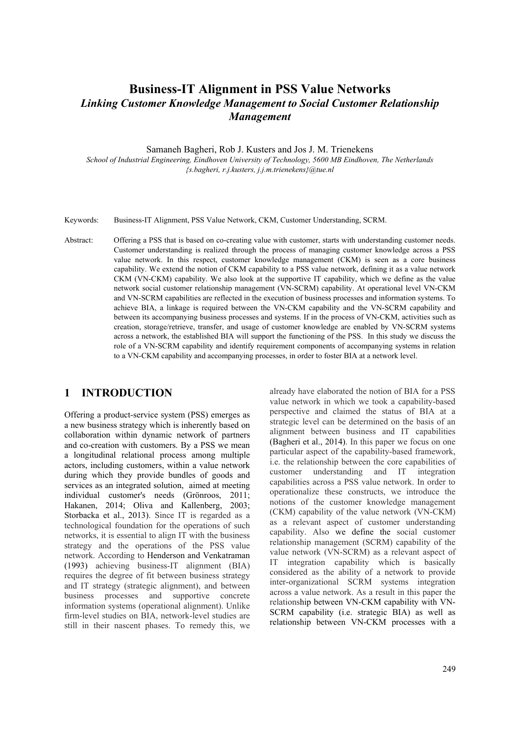# **Business-IT Alignment in PSS Value Networks**  *Linking Customer Knowledge Management to Social Customer Relationship Management*

Samaneh Bagheri, Rob J. Kusters and Jos J. M. Trienekens

*School of Industrial Engineering, Eindhoven University of Technology, 5600 MB Eindhoven, The Netherlands {s.bagheri, r.j.kusters, j.j.m.trienekens}@tue.nl* 

Keywords: Business-IT Alignment, PSS Value Network, CKM, Customer Understanding, SCRM.

Abstract: Offering a PSS that is based on co-creating value with customer, starts with understanding customer needs. Customer understanding is realized through the process of managing customer knowledge across a PSS value network. In this respect, customer knowledge management (CKM) is seen as a core business capability. We extend the notion of CKM capability to a PSS value network, defining it as a value network CKM (VN-CKM) capability. We also look at the supportive IT capability, which we define as the value network social customer relationship management (VN-SCRM) capability. At operational level VN-CKM and VN-SCRM capabilities are reflected in the execution of business processes and information systems. To achieve BIA, a linkage is required between the VN-CKM capability and the VN-SCRM capability and between its accompanying business processes and systems. If in the process of VN-CKM, activities such as creation, storage/retrieve, transfer, and usage of customer knowledge are enabled by VN-SCRM systems across a network, the established BIA will support the functioning of the PSS. In this study we discuss the role of a VN-SCRM capability and identify requirement components of accompanying systems in relation to a VN-CKM capability and accompanying processes, in order to foster BIA at a network level.

### **1 INTRODUCTION**

Offering a product-service system (PSS) emerges as a new business strategy which is inherently based on collaboration within dynamic network of partners and co-creation with customers. By a PSS we mean a longitudinal relational process among multiple actors, including customers, within a value network during which they provide bundles of goods and services as an integrated solution, aimed at meeting individual customer's needs (Grönroos, 2011; Hakanen, 2014; Oliva and Kallenberg, 2003; Storbacka et al., 2013). Since IT is regarded as a technological foundation for the operations of such networks, it is essential to align IT with the business strategy and the operations of the PSS value network. According to Henderson and Venkatraman (1993) achieving business-IT alignment (BIA) requires the degree of fit between business strategy and IT strategy (strategic alignment), and between business processes and supportive concrete information systems (operational alignment). Unlike firm-level studies on BIA, network-level studies are still in their nascent phases. To remedy this, we

already have elaborated the notion of BIA for a PSS value network in which we took a capability-based perspective and claimed the status of BIA at a strategic level can be determined on the basis of an alignment between business and IT capabilities (Bagheri et al., 2014). In this paper we focus on one particular aspect of the capability-based framework, i.e. the relationship between the core capabilities of customer understanding and IT integration capabilities across a PSS value network. In order to operationalize these constructs, we introduce the notions of the customer knowledge management (CKM) capability of the value network (VN-CKM) as a relevant aspect of customer understanding capability. Also we define the social customer relationship management (SCRM) capability of the value network (VN-SCRM) as a relevant aspect of IT integration capability which is basically considered as the ability of a network to provide inter-organizational SCRM systems integration across a value network. As a result in this paper the relationship between VN-CKM capability with VN-SCRM capability (i.e. strategic BIA) as well as relationship between VN-CKM processes with a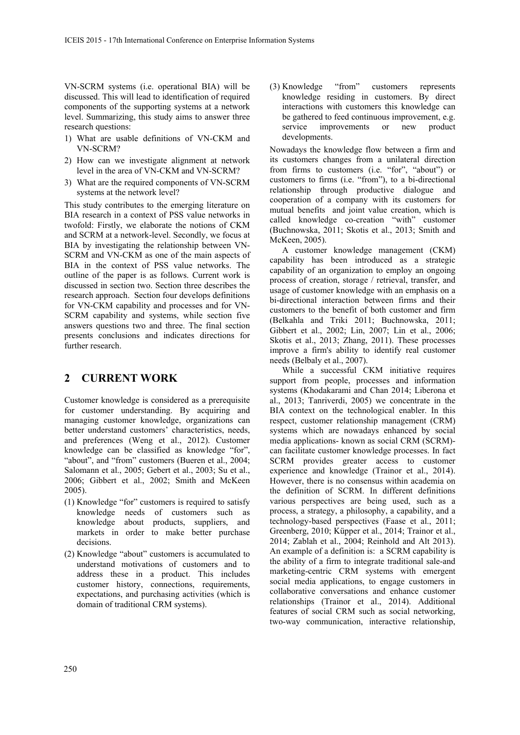VN-SCRM systems (i.e. operational BIA) will be discussed. This will lead to identification of required components of the supporting systems at a network level. Summarizing, this study aims to answer three research questions:

- 1) What are usable definitions of VN-CKM and VN-SCRM?
- 2) How can we investigate alignment at network level in the area of VN-CKM and VN-SCRM?
- 3) What are the required components of VN-SCRM systems at the network level?

This study contributes to the emerging literature on BIA research in a context of PSS value networks in twofold: Firstly, we elaborate the notions of CKM and SCRM at a network-level. Secondly, we focus at BIA by investigating the relationship between VN-SCRM and VN-CKM as one of the main aspects of BIA in the context of PSS value networks. The outline of the paper is as follows. Current work is discussed in section two. Section three describes the research approach. Section four develops definitions for VN-CKM capability and processes and for VN-SCRM capability and systems, while section five answers questions two and three. The final section presents conclusions and indicates directions for further research.

### **2 CURRENT WORK**

Customer knowledge is considered as a prerequisite for customer understanding. By acquiring and managing customer knowledge, organizations can better understand customers' characteristics, needs, and preferences (Weng et al., 2012). Customer knowledge can be classified as knowledge "for", "about", and "from" customers (Bueren et al., 2004; Salomann et al., 2005; Gebert et al., 2003; Su et al., 2006; Gibbert et al., 2002; Smith and McKeen 2005).

- (1) Knowledge "for" customers is required to satisfy knowledge needs of customers such as knowledge about products, suppliers, and markets in order to make better purchase decisions.
- (2) Knowledge "about" customers is accumulated to understand motivations of customers and to address these in a product. This includes customer history, connections, requirements, expectations, and purchasing activities (which is domain of traditional CRM systems).

(3) Knowledge "from" customers represents knowledge residing in customers. By direct interactions with customers this knowledge can be gathered to feed continuous improvement, e.g. service improvements or new product developments.

Nowadays the knowledge flow between a firm and its customers changes from a unilateral direction from firms to customers (i.e. "for", "about") or customers to firms (i.e. "from"), to a bi-directional relationship through productive dialogue and cooperation of a company with its customers for mutual benefits and joint value creation, which is called knowledge co-creation "with" customer (Buchnowska, 2011; Skotis et al., 2013; Smith and McKeen, 2005).

A customer knowledge management (CKM) capability has been introduced as a strategic capability of an organization to employ an ongoing process of creation, storage / retrieval, transfer, and usage of customer knowledge with an emphasis on a bi-directional interaction between firms and their customers to the benefit of both customer and firm (Belkahla and Triki 2011; Buchnowska, 2011; Gibbert et al., 2002; Lin, 2007; Lin et al., 2006; Skotis et al., 2013; Zhang, 2011). These processes improve a firm's ability to identify real customer needs (Belbaly et al., 2007).

While a successful CKM initiative requires support from people, processes and information systems (Khodakarami and Chan 2014; Liberona et al., 2013; Tanriverdi, 2005) we concentrate in the BIA context on the technological enabler. In this respect, customer relationship management (CRM) systems which are nowadays enhanced by social media applications- known as social CRM (SCRM) can facilitate customer knowledge processes. In fact SCRM provides greater access to customer experience and knowledge (Trainor et al., 2014). However, there is no consensus within academia on the definition of SCRM. In different definitions various perspectives are being used, such as a process, a strategy, a philosophy, a capability, and a technology-based perspectives (Faase et al., 2011; Greenberg, 2010; Küpper et al., 2014; Trainor et al., 2014; Zablah et al., 2004; Reinhold and Alt 2013). An example of a definition is: a SCRM capability is the ability of a firm to integrate traditional sale-and marketing-centric CRM systems with emergent social media applications, to engage customers in collaborative conversations and enhance customer relationships (Trainor et al., 2014). Additional features of social CRM such as social networking, two-way communication, interactive relationship,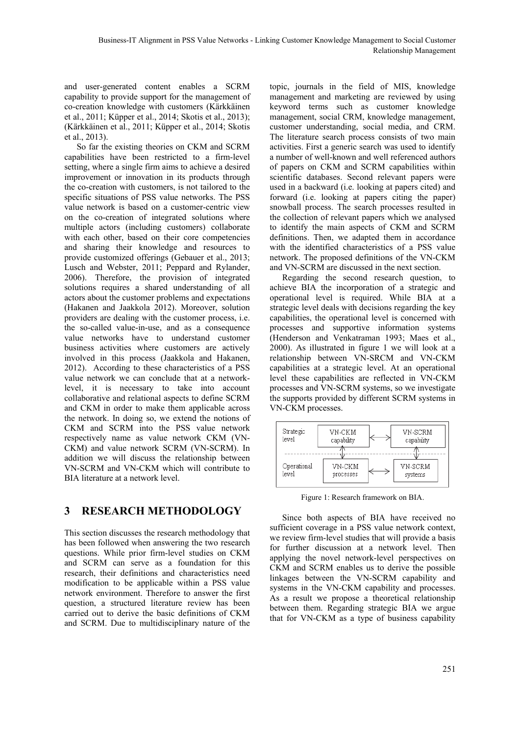and user-generated content enables a SCRM capability to provide support for the management of co-creation knowledge with customers (Kärkkäinen et al., 2011; Küpper et al., 2014; Skotis et al., 2013); (Kärkkäinen et al., 2011; Küpper et al., 2014; Skotis et al., 2013).

So far the existing theories on CKM and SCRM capabilities have been restricted to a firm-level setting, where a single firm aims to achieve a desired improvement or innovation in its products through the co-creation with customers, is not tailored to the specific situations of PSS value networks. The PSS value network is based on a customer-centric view on the co-creation of integrated solutions where multiple actors (including customers) collaborate with each other, based on their core competencies and sharing their knowledge and resources to provide customized offerings (Gebauer et al., 2013; Lusch and Webster, 2011; Peppard and Rylander, 2006). Therefore, the provision of integrated solutions requires a shared understanding of all actors about the customer problems and expectations (Hakanen and Jaakkola 2012). Moreover, solution providers are dealing with the customer process, i.e. the so-called value-in-use, and as a consequence value networks have to understand customer business activities where customers are actively involved in this process (Jaakkola and Hakanen, 2012). According to these characteristics of a PSS value network we can conclude that at a networklevel, it is necessary to take into account collaborative and relational aspects to define SCRM and CKM in order to make them applicable across the network. In doing so, we extend the notions of CKM and SCRM into the PSS value network respectively name as value network CKM (VN-CKM) and value network SCRM (VN-SCRM). In addition we will discuss the relationship between VN-SCRM and VN-CKM which will contribute to BIA literature at a network level.

# **3 RESEARCH METHODOLOGY**

This section discusses the research methodology that has been followed when answering the two research questions. While prior firm-level studies on CKM and SCRM can serve as a foundation for this research, their definitions and characteristics need modification to be applicable within a PSS value network environment. Therefore to answer the first question, a structured literature review has been carried out to derive the basic definitions of CKM and SCRM. Due to multidisciplinary nature of the

topic, journals in the field of MIS, knowledge management and marketing are reviewed by using keyword terms such as customer knowledge management, social CRM, knowledge management, customer understanding, social media, and CRM. The literature search process consists of two main activities. First a generic search was used to identify a number of well-known and well referenced authors of papers on CKM and SCRM capabilities within scientific databases. Second relevant papers were used in a backward (i.e. looking at papers cited) and forward (i.e. looking at papers citing the paper) snowball process. The search processes resulted in the collection of relevant papers which we analysed to identify the main aspects of CKM and SCRM definitions. Then, we adapted them in accordance with the identified characteristics of a PSS value network. The proposed definitions of the VN-CKM and VN-SCRM are discussed in the next section.

Regarding the second research question, to achieve BIA the incorporation of a strategic and operational level is required. While BIA at a strategic level deals with decisions regarding the key capabilities, the operational level is concerned with processes and supportive information systems (Henderson and Venkatraman 1993; Maes et al., 2000). As illustrated in figure 1 we will look at a relationship between VN-SRCM and VN-CKM capabilities at a strategic level. At an operational level these capabilities are reflected in VN-CKM processes and VN-SCRM systems, so we investigate the supports provided by different SCRM systems in VN-CKM processes.



Figure 1: Research framework on BIA.

Since both aspects of BIA have received no sufficient coverage in a PSS value network context, we review firm-level studies that will provide a basis for further discussion at a network level. Then applying the novel network-level perspectives on CKM and SCRM enables us to derive the possible linkages between the VN-SCRM capability and systems in the VN-CKM capability and processes. As a result we propose a theoretical relationship between them. Regarding strategic BIA we argue that for VN-CKM as a type of business capability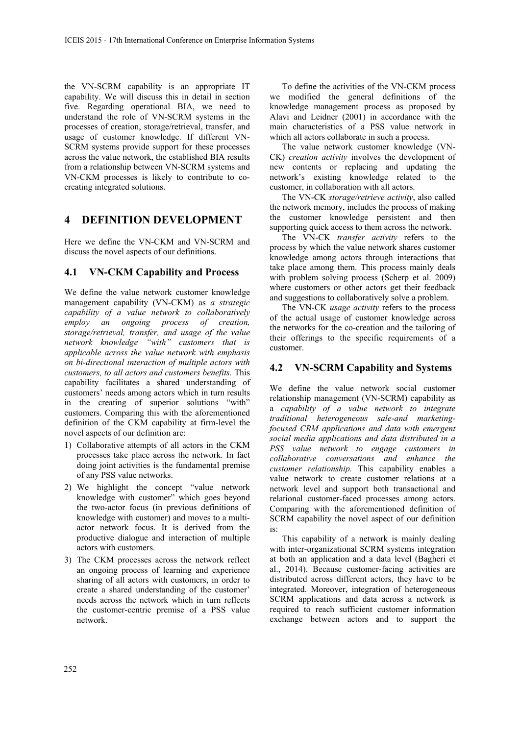the VN-SCRM capability is an appropriate IT capability. We will discuss this in detail in section five. Regarding operational BIA, we need to understand the role of VN-SCRM systems in the processes of creation, storage/retrieval, transfer, and usage of customer knowledge. If different VN-SCRM systems provide support for these processes across the value network, the established BIA results from a relationship between VN-SCRM systems and VN-CKM processes is likely to contribute to cocreating integrated solutions.

### **4 DEFINITION DEVELOPMENT**

Here we define the VN-CKM and VN-SCRM and discuss the novel aspects of our definitions.

#### **4.1 VN-CKM Capability and Process**

We define the value network customer knowledge management capability (VN-CKM) as *a strategic capability of a value network to collaboratively employ an ongoing process of creation, storage/retrieval, transfer, and usage of the value network knowledge "with" customers that is applicable across the value network with emphasis on bi-directional interaction of multiple actors with customers, to all actors and customers benefits.* This capability facilitates a shared understanding of customers' needs among actors which in turn results in the creating of superior solutions "with" customers. Comparing this with the aforementioned definition of the CKM capability at firm-level the novel aspects of our definition are:

- 1) Collaborative attempts of all actors in the CKM processes take place across the network. In fact doing joint activities is the fundamental premise of any PSS value networks.
- 2) We highlight the concept "value network knowledge with customer" which goes beyond the two-actor focus (in previous definitions of knowledge with customer) and moves to a multiactor network focus. It is derived from the productive dialogue and interaction of multiple actors with customers.
- 3) The CKM processes across the network reflect an ongoing process of learning and experience sharing of all actors with customers, in order to create a shared understanding of the customer' needs across the network which in turn reflects the customer-centric premise of a PSS value network.

To define the activities of the VN-CKM process we modified the general definitions of the knowledge management process as proposed by Alavi and Leidner (2001) in accordance with the main characteristics of a PSS value network in which all actors collaborate in such a process.

The value network customer knowledge (VN-CK) *creation activity* involves the development of new contents or replacing and updating the network's existing knowledge related to the customer, in collaboration with all actors.

The VN-CK *storage/retrieve activity*, also called the network memory, includes the process of making the customer knowledge persistent and then supporting quick access to them across the network.

The VN-CK *transfer activity* refers to the process by which the value network shares customer knowledge among actors through interactions that take place among them. This process mainly deals with problem solving process (Scherp et al. 2009) where customers or other actors get their feedback and suggestions to collaboratively solve a problem.

The VN-CK *usage activity* refers to the process of the actual usage of customer knowledge across the networks for the co-creation and the tailoring of their offerings to the specific requirements of a customer.

#### **4.2 VN-SCRM Capability and Systems**

We define the value network social customer relationship management (VN-SCRM) capability as a *capability of a value network to integrate traditional heterogeneous sale-and marketingfocused CRM applications and data with emergent social media applications and data distributed in a PSS value network to engage customers in collaborative conversations and enhance the customer relationship.* This capability enables a value network to create customer relations at a network level and support both transactional and relational customer-faced processes among actors. Comparing with the aforementioned definition of SCRM capability the novel aspect of our definition is:

This capability of a network is mainly dealing with inter-organizational SCRM systems integration at both an application and a data level (Bagheri et al., 2014). Because customer-facing activities are distributed across different actors, they have to be integrated. Moreover, integration of heterogeneous SCRM applications and data across a network is required to reach sufficient customer information exchange between actors and to support the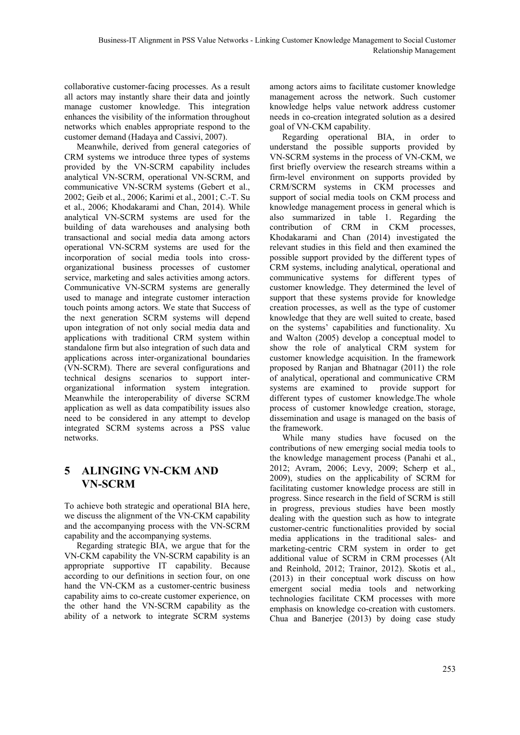collaborative customer-facing processes. As a result all actors may instantly share their data and jointly manage customer knowledge. This integration enhances the visibility of the information throughout networks which enables appropriate respond to the customer demand (Hadaya and Cassivi, 2007).

Meanwhile, derived from general categories of CRM systems we introduce three types of systems provided by the VN-SCRM capability includes analytical VN-SCRM, operational VN-SCRM, and communicative VN-SCRM systems (Gebert et al., 2002; Geib et al., 2006; Karimi et al., 2001; C.-T. Su et al., 2006; Khodakarami and Chan, 2014). While analytical VN-SCRM systems are used for the building of data warehouses and analysing both transactional and social media data among actors operational VN-SCRM systems are used for the incorporation of social media tools into crossorganizational business processes of customer service, marketing and sales activities among actors. Communicative VN-SCRM systems are generally used to manage and integrate customer interaction touch points among actors. We state that Success of the next generation SCRM systems will depend upon integration of not only social media data and applications with traditional CRM system within standalone firm but also integration of such data and applications across inter-organizational boundaries (VN-SCRM). There are several configurations and technical designs scenarios to support interorganizational information system integration. Meanwhile the interoperability of diverse SCRM application as well as data compatibility issues also need to be considered in any attempt to develop integrated SCRM systems across a PSS value networks.

## **5 ALINGING VN-CKM AND VN-SCRM**

To achieve both strategic and operational BIA here, we discuss the alignment of the VN-CKM capability and the accompanying process with the VN-SCRM capability and the accompanying systems.

Regarding strategic BIA, we argue that for the VN-CKM capability the VN-SCRM capability is an appropriate supportive IT capability. Because according to our definitions in section four, on one hand the VN-CKM as a customer-centric business capability aims to co-create customer experience, on the other hand the VN-SCRM capability as the ability of a network to integrate SCRM systems

among actors aims to facilitate customer knowledge management across the network. Such customer knowledge helps value network address customer needs in co-creation integrated solution as a desired goal of VN-CKM capability.

Regarding operational BIA, in order to understand the possible supports provided by VN-SCRM systems in the process of VN-CKM, we first briefly overview the research streams within a firm-level environment on supports provided by CRM/SCRM systems in CKM processes and support of social media tools on CKM process and knowledge management process in general which is also summarized in table 1. Regarding the contribution of CRM in CKM processes, Khodakarami and Chan (2014) investigated the relevant studies in this field and then examined the possible support provided by the different types of CRM systems, including analytical, operational and communicative systems for different types of customer knowledge. They determined the level of support that these systems provide for knowledge creation processes, as well as the type of customer knowledge that they are well suited to create, based on the systems' capabilities and functionality. Xu and Walton (2005) develop a conceptual model to show the role of analytical CRM system for customer knowledge acquisition. In the framework proposed by Ranjan and Bhatnagar (2011) the role of analytical, operational and communicative CRM systems are examined to provide support for different types of customer knowledge.The whole process of customer knowledge creation, storage, dissemination and usage is managed on the basis of the framework.

While many studies have focused on the contributions of new emerging social media tools to the knowledge management process (Panahi et al., 2012; Avram, 2006; Levy, 2009; Scherp et al., 2009), studies on the applicability of SCRM for facilitating customer knowledge process are still in progress. Since research in the field of SCRM is still in progress, previous studies have been mostly dealing with the question such as how to integrate customer-centric functionalities provided by social media applications in the traditional sales- and marketing-centric CRM system in order to get additional value of SCRM in CRM processes (Alt and Reinhold, 2012; Trainor, 2012). Skotis et al., (2013) in their conceptual work discuss on how emergent social media tools and networking technologies facilitate CKM processes with more emphasis on knowledge co-creation with customers. Chua and Banerjee (2013) by doing case study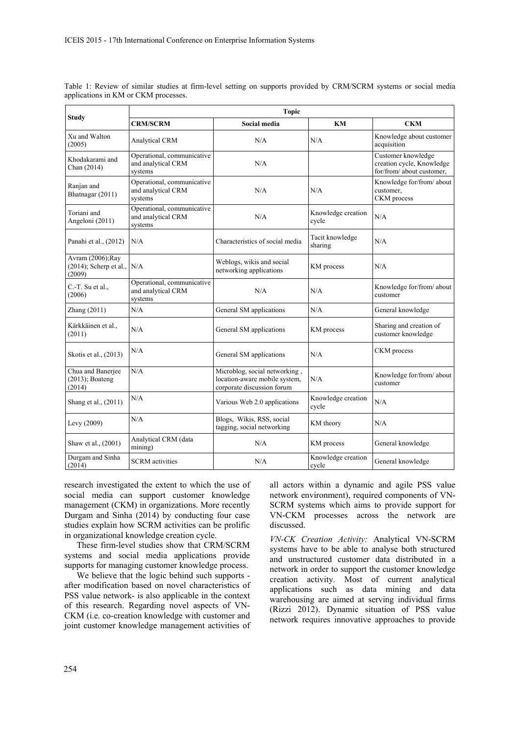| <b>Study</b>                                             | <b>Topic</b>                                                |                                                                                              |                             |                                                                              |
|----------------------------------------------------------|-------------------------------------------------------------|----------------------------------------------------------------------------------------------|-----------------------------|------------------------------------------------------------------------------|
|                                                          | <b>CRM/SCRM</b>                                             | Social media                                                                                 | KM                          | <b>CKM</b>                                                                   |
| Xu and Walton<br>(2005)                                  | <b>Analytical CRM</b>                                       | N/A                                                                                          | N/A                         | Knowledge about customer<br>acquisition                                      |
| Khodakarami and<br>Chan (2014)                           | Operational, communicative<br>and analytical CRM<br>systems | N/A                                                                                          |                             | Customer knowledge<br>creation cycle, Knowledge<br>for/from/ about customer, |
| Ranjan and<br>Bhatnagar (2011)                           | Operational, communicative<br>and analytical CRM<br>systems | N/A                                                                                          | N/A                         | Knowledge for/from/ about<br>customer,<br>CKM process                        |
| Toriani and<br>Angeloni (2011)                           | Operational, communicative<br>and analytical CRM<br>systems | N/A                                                                                          | Knowledge creation<br>cycle | N/A                                                                          |
| Panahi et al., (2012)                                    | N/A                                                         | Characteristics of social media                                                              | Tacit knowledge<br>sharing  | N/A                                                                          |
| Avram (2006); Ray<br>$(2014)$ ; Scherp et al.,<br>(2009) | N/A                                                         | Weblogs, wikis and social<br>networking applications                                         | KM process                  | N/A                                                                          |
| $C.-T.$ Su et al.,<br>(2006)                             | Operational, communicative<br>and analytical CRM<br>systems | N/A                                                                                          | N/A                         | Knowledge for/from/about<br>customer                                         |
| Zhang $(2011)$                                           | N/A                                                         | General SM applications                                                                      | N/A                         | General knowledge                                                            |
| Kärkkäinen et al.,<br>(2011)                             | N/A                                                         | General SM applications                                                                      | KM process                  | Sharing and creation of<br>customer knowledge                                |
| Skotis et al., (2013)                                    | N/A                                                         | General SM applications                                                                      | N/A                         | CKM process                                                                  |
| Chua and Banerjee<br>$(2013)$ ; Boateng<br>(2014)        | N/A                                                         | Microblog, social networking,<br>location-aware mobile system,<br>corporate discussion forum | N/A                         | Knowledge for/from/ about<br>customer                                        |
| Shang et al., (2011)                                     | N/A                                                         | Various Web 2.0 applications                                                                 | Knowledge creation<br>cycle | N/A                                                                          |
| Levy (2009)                                              | N/A                                                         | Blogs, Wikis, RSS, social<br>tagging, social networking                                      | KM theory                   | N/A                                                                          |
| Shaw et al., (2001)                                      | Analytical CRM (data<br>mining)                             | N/A                                                                                          | KM process                  | General knowledge                                                            |
| Durgam and Sinha<br>(2014)                               | <b>SCRM</b> activities                                      | N/A                                                                                          | Knowledge creation<br>cycle | General knowledge                                                            |

Table 1: Review of similar studies at firm-level setting on supports provided by CRM/SCRM systems or social media applications in KM or CKM processes.

research investigated the extent to which the use of social media can support customer knowledge management (CKM) in organizations. More recently Durgam and Sinha (2014) by conducting four case studies explain how SCRM activities can be prolific in organizational knowledge creation cycle.

These firm-level studies show that CRM/SCRM systems and social media applications provide supports for managing customer knowledge process.

We believe that the logic behind such supports after modification based on novel characteristics of PSS value network- is also applicable in the context of this research. Regarding novel aspects of VN-CKM (i.e. co-creation knowledge with customer and joint customer knowledge management activities of all actors within a dynamic and agile PSS value network environment), required components of VN-SCRM systems which aims to provide support for VN-CKM processes across the network are discussed.

*VN-CK Creation Activity:* Analytical VN-SCRM systems have to be able to analyse both structured and unstructured customer data distributed in a network in order to support the customer knowledge creation activity. Most of current analytical applications such as data mining and data warehousing are aimed at serving individual firms (Rizzi 2012). Dynamic situation of PSS value network requires innovative approaches to provide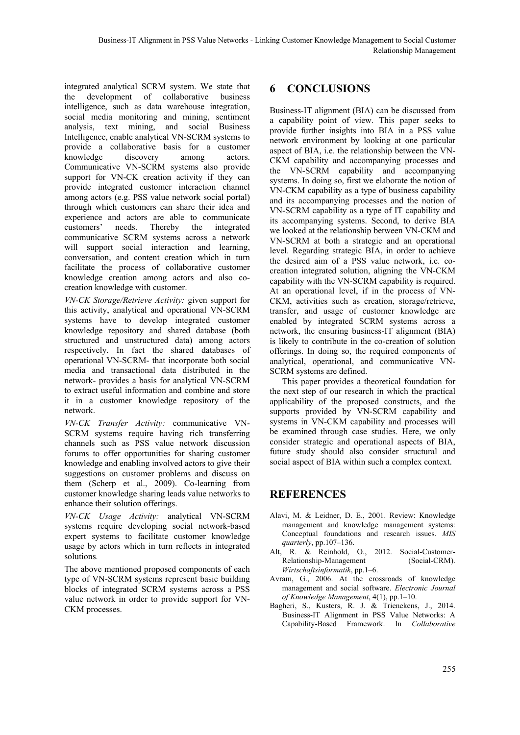integrated analytical SCRM system. We state that the development of collaborative business intelligence, such as data warehouse integration, social media monitoring and mining, sentiment analysis, text mining, and social Business Intelligence, enable analytical VN-SCRM systems to provide a collaborative basis for a customer knowledge discovery among actors. Communicative VN-SCRM systems also provide support for VN-CK creation activity if they can provide integrated customer interaction channel among actors (e.g. PSS value network social portal) through which customers can share their idea and experience and actors are able to communicate customers' needs. Thereby the integrated communicative SCRM systems across a network will support social interaction and learning, conversation, and content creation which in turn facilitate the process of collaborative customer knowledge creation among actors and also cocreation knowledge with customer.

*VN-CK Storage/Retrieve Activity:* given support for this activity, analytical and operational VN-SCRM systems have to develop integrated customer knowledge repository and shared database (both structured and unstructured data) among actors respectively. In fact the shared databases of operational VN-SCRM- that incorporate both social media and transactional data distributed in the network- provides a basis for analytical VN-SCRM to extract useful information and combine and store it in a customer knowledge repository of the network.

*VN-CK Transfer Activity:* communicative VN-SCRM systems require having rich transferring channels such as PSS value network discussion forums to offer opportunities for sharing customer knowledge and enabling involved actors to give their suggestions on customer problems and discuss on them (Scherp et al., 2009). Co-learning from customer knowledge sharing leads value networks to enhance their solution offerings.

*VN-CK Usage Activity:* analytical VN-SCRM systems require developing social network-based expert systems to facilitate customer knowledge usage by actors which in turn reflects in integrated solutions.

The above mentioned proposed components of each type of VN-SCRM systems represent basic building blocks of integrated SCRM systems across a PSS value network in order to provide support for VN-CKM processes.

# **6 CONCLUSIONS**

Business-IT alignment (BIA) can be discussed from a capability point of view. This paper seeks to provide further insights into BIA in a PSS value network environment by looking at one particular aspect of BIA, i.e. the relationship between the VN-CKM capability and accompanying processes and the VN-SCRM capability and accompanying systems. In doing so, first we elaborate the notion of VN-CKM capability as a type of business capability and its accompanying processes and the notion of VN-SCRM capability as a type of IT capability and its accompanying systems. Second, to derive BIA we looked at the relationship between VN-CKM and VN-SCRM at both a strategic and an operational level. Regarding strategic BIA, in order to achieve the desired aim of a PSS value network, i.e. cocreation integrated solution, aligning the VN-CKM capability with the VN-SCRM capability is required. At an operational level, if in the process of VN-CKM, activities such as creation, storage/retrieve, transfer, and usage of customer knowledge are enabled by integrated SCRM systems across a network, the ensuring business-IT alignment (BIA) is likely to contribute in the co-creation of solution offerings. In doing so, the required components of analytical, operational, and communicative VN-SCRM systems are defined.

This paper provides a theoretical foundation for the next step of our research in which the practical applicability of the proposed constructs, and the supports provided by VN-SCRM capability and systems in VN-CKM capability and processes will be examined through case studies. Here, we only consider strategic and operational aspects of BIA, future study should also consider structural and social aspect of BIA within such a complex context.

# **REFERENCES**

- Alavi, M. & Leidner, D. E., 2001. Review: Knowledge management and knowledge management systems: Conceptual foundations and research issues. *MIS quarterly*, pp.107–136.
- Alt, R. & Reinhold, O., 2012. Social-Customer-Relationship-Management (Social-CRM). *Wirtschaftsinformatik*, pp.1–6.
- Avram, G., 2006. At the crossroads of knowledge management and social software. *Electronic Journal of Knowledge Management*, 4(1), pp.1–10.
- Bagheri, S., Kusters, R. J. & Trienekens, J., 2014. Business-IT Alignment in PSS Value Networks: A Capability-Based Framework. In *Collaborative*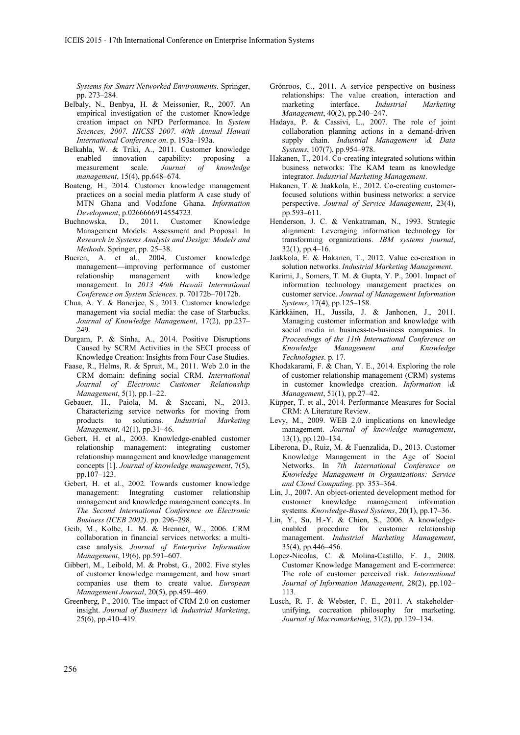*Systems for Smart Networked Environments*. Springer, pp. 273–284.

- Belbaly, N., Benbya, H. & Meissonier, R., 2007. An empirical investigation of the customer Knowledge creation impact on NPD Performance. In *System Sciences, 2007. HICSS 2007. 40th Annual Hawaii International Conference on*. p. 193a–193a.
- Belkahla, W. & Triki, A., 2011. Customer knowledge enabled innovation capability: proposing a measurement scale. *Journal of knowledge management*, 15(4), pp.648–674.
- Boateng, H., 2014. Customer knowledge management practices on a social media platform A case study of MTN Ghana and Vodafone Ghana. *Information Development*, p.0266666914554723.
- Buchnowska, D., 2011. Customer Knowledge Management Models: Assessment and Proposal. In *Research in Systems Analysis and Design: Models and Methods*. Springer, pp. 25–38.
- Bueren, A. et al., 2004. Customer knowledge management—improving performance of customer relationship management with knowledge management. In *2013 46th Hawaii International Conference on System Sciences*. p. 70172b–70172b.
- Chua, A. Y. & Banerjee, S., 2013. Customer knowledge management via social media: the case of Starbucks. *Journal of Knowledge Management*, 17(2), pp.237– 249.
- Durgam, P. & Sinha, A., 2014. Positive Disruptions Caused by SCRM Activities in the SECI process of Knowledge Creation: Insights from Four Case Studies.
- Faase, R., Helms, R. & Spruit, M., 2011. Web 2.0 in the CRM domain: defining social CRM. *International Journal of Electronic Customer Relationship Management*, 5(1), pp.1–22.
- Gebauer, H., Paiola, M. & Saccani, N., 2013. Characterizing service networks for moving from products to solutions. *Industrial Marketing Management*, 42(1), pp.31–46.
- Gebert, H. et al., 2003. Knowledge-enabled customer relationship management: integrating customer relationship management and knowledge management concepts [1]. *Journal of knowledge management*, 7(5), pp.107–123.
- Gebert, H. et al., 2002. Towards customer knowledge management: Integrating customer relationship management and knowledge management concepts. In *The Second International Conference on Electronic Business (ICEB 2002)*. pp. 296–298.
- Geib, M., Kolbe, L. M. & Brenner, W., 2006. CRM collaboration in financial services networks: a multicase analysis. *Journal of Enterprise Information Management*, 19(6), pp.591–607.
- Gibbert, M., Leibold, M. & Probst, G., 2002. Five styles of customer knowledge management, and how smart companies use them to create value. *European Management Journal*, 20(5), pp.459–469.
- Greenberg, P., 2010. The impact of CRM 2.0 on customer insight. *Journal of Business \& Industrial Marketing*, 25(6), pp.410–419.
- Grönroos, C., 2011. A service perspective on business relationships: The value creation, interaction and marketing interface. *Industrial Marketing Management*, 40(2), pp.240–247.
- Hadaya, P. & Cassivi, L., 2007. The role of joint collaboration planning actions in a demand-driven supply chain. *Industrial Management \& Data Systems*, 107(7), pp.954–978.
- Hakanen, T., 2014. Co-creating integrated solutions within business networks: The KAM team as knowledge integrator. *Industrial Marketing Management*.
- Hakanen, T. & Jaakkola, E., 2012. Co-creating customerfocused solutions within business networks: a service perspective. *Journal of Service Management*, 23(4), pp.593–611.
- Henderson, J. C. & Venkatraman, N., 1993. Strategic alignment: Leveraging information technology for transforming organizations. *IBM systems journal*,  $32(1)$ , pp.4–16.
- Jaakkola, E. & Hakanen, T., 2012. Value co-creation in solution networks. *Industrial Marketing Management*.
- Karimi, J., Somers, T. M. & Gupta, Y. P., 2001. Impact of information technology management practices on customer service. *Journal of Management Information Systems*, 17(4), pp.125–158.
- Kärkkäinen, H., Jussila, J. & Janhonen, J., 2011. Managing customer information and knowledge with social media in business-to-business companies. In *Proceedings of the 11th International Conference on Knowledge Management and Knowledge Technologies*. p. 17.
- Khodakarami, F. & Chan, Y. E., 2014. Exploring the role of customer relationship management (CRM) systems in customer knowledge creation. *Information \& Management*, 51(1), pp.27–42.
- Küpper, T. et al., 2014. Performance Measures for Social CRM: A Literature Review.
- Levy, M., 2009. WEB 2.0 implications on knowledge management. *Journal of knowledge management*, 13(1), pp.120–134.
- Liberona, D., Ruiz, M. & Fuenzalida, D., 2013. Customer Knowledge Management in the Age of Social Networks. In *7th International Conference on Knowledge Management in Organizations: Service and Cloud Computing*. pp. 353–364.
- Lin, J., 2007. An object-oriented development method for customer knowledge management information systems. *Knowledge-Based Systems*, 20(1), pp.17–36.
- Lin, Y., Su, H.-Y. & Chien, S., 2006. A knowledgeenabled procedure for customer relationship management. *Industrial Marketing Management*, 35(4), pp.446–456.
- Lopez-Nicolas, C. & Molina-Castillo, F. J., 2008. Customer Knowledge Management and E-commerce: The role of customer perceived risk. *International Journal of Information Management*, 28(2), pp.102– 113.
- Lusch, R. F. & Webster, F. E., 2011. A stakeholderunifying, cocreation philosophy for marketing. *Journal of Macromarketing*, 31(2), pp.129–134.